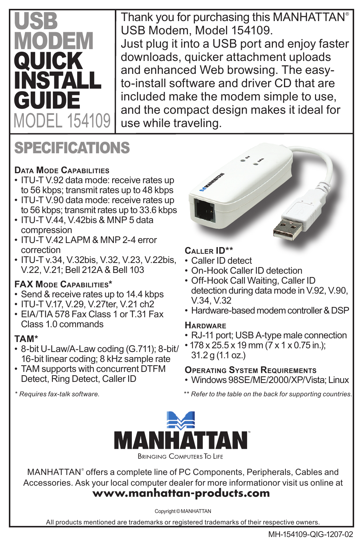

Thank you for purchasing this MANHATTAN<sup>®</sup> USB Modem, Model 154109. Just plug it into a USB port and enjoy faster downloads, quicker attachment uploads and enhanced Web browsing. The easyto-install software and driver CD that are included make the modem simple to use, and the compact design makes it ideal for use while traveling.

# **SPECIFICATIONS**

### **Data Mode Capabilities**

- ITU-T V.92 data mode: receive rates up to 56 kbps; transmit rates up to 48 kbps
- ITU-T V.90 data mode: receive rates up to 56 kbps; transmit rates up to 33.6 kbps
- $\cdot$  ITU-T V.44, V.42bis & MNP 5 data compression
- $\cdot$  ITU-T V 42 LAPM & MNP 2-4 error correction
- ITU-T v.34, V.32bis, V.32, V.23, V.22bis, V.22, V.21; Bell 212A & Bell 103

### **FAX Mode Capabilities\***

- Send & receive rates up to 14.4 kbps
- ITU-T V.17, V.29, V.27ter, V.21 ch2
- EIA/TIA 578 Fax Class 1 or T.31 Fax Class 1.0 commands

### **TAM\***

- 8-bit U-Law/A-Law coding (G.711); 8-bit/ 16-bit linear coding; 8 kHz sample rate
- TAM supports with concurrent DTFM Detect, Ring Detect, Caller ID

### **Caller ID\*\***

- Caller ID detect
- On-Hook Caller ID detection
- Off-Hook Call Waiting, Caller ID detection during data mode in V.92, V.90, V.34, V.32
- Hardware-based modem controller & DSP

#### **Hardware**

- RJ-11 port; USB A-type male connection
- $\cdot$  178 x 25.5 x 19 mm (7 x 1 x 0.75 in.); 31.2 g (1.1 oz.)

**Operating System Requirements** • Windows 98SE/ME/2000/XP/Vista: Linux

\* *Requires fax-talk software*. \*\* *Refer to the table on the back for supporting countries.*



**BRINGING COMPLITERS TO LIFE** 

MANHATTAN® offers a complete line of PC Components, Peripherals, Cables and Accessories. Ask your local computer dealer for more informationor visit us online at

## **www.manhattan-products.com**

Copyright © MANHATTAN

All products mentioned are trademarks or registered trademarks of their respective owners.